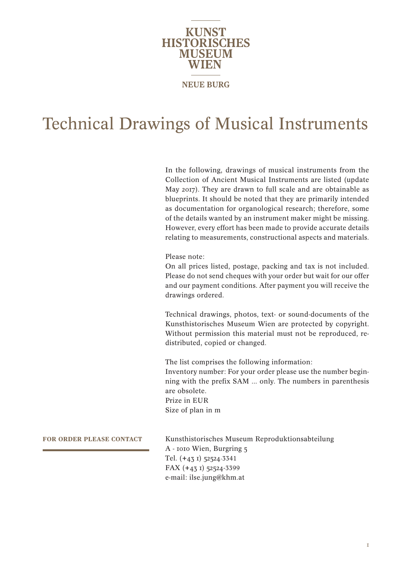

### Technical Drawings of Musical Instruments

In the following, drawings of musical instruments from the Collection of Ancient Musical Instruments are listed (update May 2017). They are drawn to full scale and are obtainable as blueprints. It should be noted that they are primarily intended as documentation for organological research; therefore, some of the details wanted by an instrument maker might be missing. However, every effort has been made to provide accurate details relating to measurements, constructional aspects and materials.

Please note:

On all prices listed, postage, packing and tax is not included. Please do not send cheques with your order but wait for our offer and our payment conditions. After payment you will receive the drawings ordered.

Technical drawings, photos, text- or sound-documents of the Kunsthistorisches Museum Wien are protected by copyright. Without permission this material must not be reproduced, redistributed, copied or changed.

The list comprises the following information: Inventory number: For your order please use the number beginning with the prefix SAM ... only. The numbers in parenthesis are obsolete. Prize in EUR Size of plan in m

**FOR ORDER PLEASE CONTACT**

Kunsthistorisches Museum Reproduktionsabteilung A - 1010 Wien, Burgring 5 Tel. (+43 1) 52524-3341 FAX (+43 1) 52524-3399 e-mail: ilse.jung@khm.at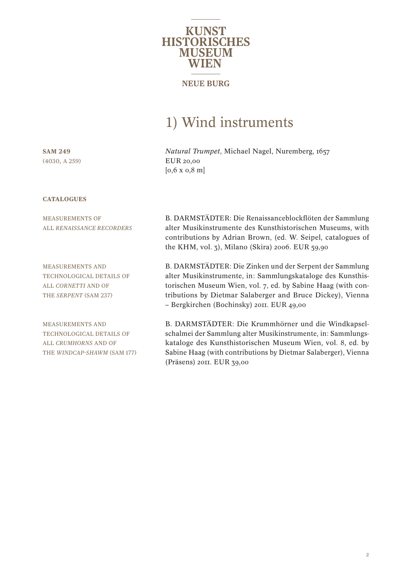

### **NEUE BURG**

### 1) Wind instruments

*Natural Trumpet*, Michael Nagel, Nuremberg, 1657 EUR 20,00 [0,6 x 0,8 m]

**SAM 249** (4030, A 259)

#### **CATALOGUES**

MEASUREMENTS OF ALL *RENAISSANCE RECORDERS*

MEASUREMENTS AND TECHNOLOGICAL DETAILS OF ALL *CORNETTI* AND OF THE *SERPENT* (SAM 237)

MEASUREMENTS AND TECHNOLOGICAL DETAILS OF ALL *CRUMHORNS* AND OF THE *WINDCAP-SHAWM* (SAM 177) B. DARMSTÄDTER: Die Renaissanceblockflöten der Sammlung alter Musikinstrumente des Kunsthistorischen Museums, with contributions by Adrian Brown, (ed. W. Seipel, catalogues of the KHM, vol. 3), Milano (Skira) 2006. EUR 59,90

B. DARMSTÄDTER: Die Zinken und der Serpent der Sammlung alter Musikinstrumente, in: Sammlungskataloge des Kunsthistorischen Museum Wien, vol. 7, ed. by Sabine Haag (with contributions by Dietmar Salaberger and Bruce Dickey), Vienna – Bergkirchen (Bochinsky) 2011. EUR 49,00

B. DARMSTÄDTER: Die Krummhörner und die Windkapselschalmei der Sammlung alter Musikinstrumente, in: Sammlungskataloge des Kunsthistorischen Museum Wien, vol. 8, ed. by Sabine Haag (with contributions by Dietmar Salaberger), Vienna (Präsens) 2011. EUR 39,00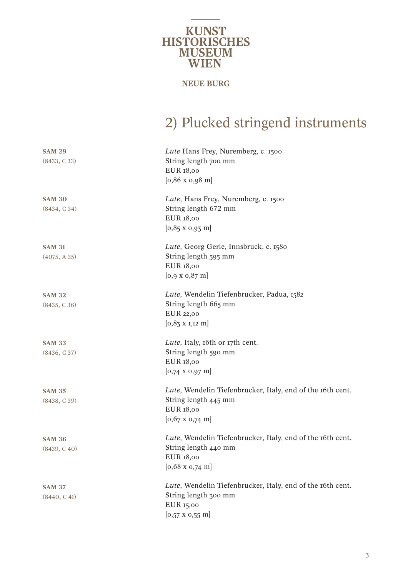

## 2) Plucked stringend instruments

| <b>SAM 29</b> | Lute Hans Frey, Nuremberg, c. 1500                         |
|---------------|------------------------------------------------------------|
| (8433, C33)   | String length 700 mm                                       |
|               | EUR 18,00                                                  |
|               | $[0,86 \times 0,98 \text{ m}]$                             |
| <b>SAM 30</b> | Lute, Hans Frey, Nuremberg, c. 1500                        |
| (8434, C34)   | String length 672 mm                                       |
|               | EUR 18,00                                                  |
|               | $[0,85 \times 0,93 \text{ m}]$                             |
| <b>SAM 31</b> | Lute, Georg Gerle, Innsbruck, c. 1580                      |
| (4075, A35)   | String length 595 mm                                       |
|               | EUR 18,00                                                  |
|               | $[0.9 \times 0.87 \text{ m}]$                              |
| <b>SAM 32</b> | Lute, Wendelin Tiefenbrucker, Padua, 1582                  |
| (8435, C36)   | String length 665 mm                                       |
|               | EUR 22,00                                                  |
|               | $[0,85 \times 1,12 \text{ m}]$                             |
| <b>SAM 33</b> | Lute, Italy, 16th or 17th cent.                            |
| (8436, C37)   | String length 590 mm                                       |
|               | EUR 18,00                                                  |
|               | $[0,74 \times 0,97 \text{ m}]$                             |
| <b>SAM 35</b> | Lute, Wendelin Tiefenbrucker, Italy, end of the 16th cent. |
| (8438, C39)   | String length 445 mm                                       |
|               | EUR 18,00                                                  |
|               | $[0.67 \times 0.74 \text{ m}]$                             |
| <b>SAM 36</b> | Lute, Wendelin Tiefenbrucker, Italy, end of the 16th cent. |
| (8439, C40)   | String length 440 mm                                       |
|               | EUR 18,00                                                  |
|               | $[0,68 \times 0,74 \text{ m}]$                             |
| <b>SAM 37</b> | Lute, Wendelin Tiefenbrucker, Italy, end of the 16th cent. |
| (8440, C41)   | String length 300 mm                                       |
|               | EUR 15,00                                                  |
|               | $[0,57 \times 0,55 \text{ m}]$                             |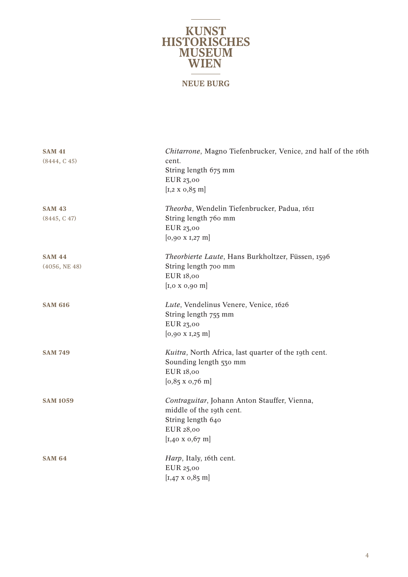# **KUNST<br>HISTORISCHES<br>MUSEUM<br>WIEN NEUE BURG**

| <b>SAM 41</b><br>(8444, C45)   | Chitarrone, Magno Tiefenbrucker, Venice, 2nd half of the 16th<br>cent.<br>String length 675 mm<br>EUR 23,00<br>$[x, 2 \times 0, 85 \text{ m}]$ |
|--------------------------------|------------------------------------------------------------------------------------------------------------------------------------------------|
| <b>SAM 43</b><br>(8445, C47)   | Theorba, Wendelin Tiefenbrucker, Padua, 1611<br>String length 760 mm<br>EUR 23,00<br>$[0,90 \times 1,27 \text{ m}]$                            |
| <b>SAM 44</b><br>(4056, NE 48) | Theorbierte Laute, Hans Burkholtzer, Füssen, 1596<br>String length 700 mm<br>EUR 18,00<br>$\left[1,0 \times 0,90 \right]$                      |
| <b>SAM 616</b>                 | Lute, Vendelinus Venere, Venice, 1626<br>String length 755 mm<br>EUR 23,00<br>$[0,90 \times 1,25 \text{ m}]$                                   |
| <b>SAM 749</b>                 | Kuitra, North Africa, last quarter of the 19th cent.<br>Sounding length 530 mm<br>EUR 18,00<br>$[0,85 \times 0,76 \text{ m}]$                  |
| <b>SAM 1059</b>                | Contraguitar, Johann Anton Stauffer, Vienna,<br>middle of the 19th cent.<br>String length 640<br>EUR 28,00<br>$[x,40 \times 0,67 \text{ m}]$   |
| <b>SAM 64</b>                  | Harp, Italy, 16th cent.<br>EUR 25,00<br>$[1,47 \times 0,85 \text{ m}]$                                                                         |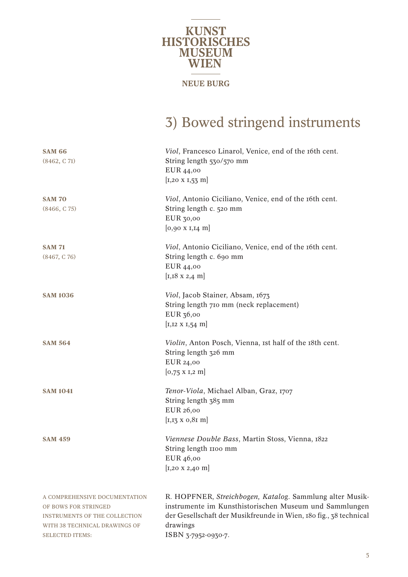

# 3) Bowed stringend instruments

| <b>SAM 66</b><br>(8462, C71)                                                                                                                             | Viol, Francesco Linarol, Venice, end of the 16th cent.<br>String length 530/570 mm<br>EUR 44,00<br>$[x, 20 \times 1, 53 \text{ m}]$                                                                                        |
|----------------------------------------------------------------------------------------------------------------------------------------------------------|----------------------------------------------------------------------------------------------------------------------------------------------------------------------------------------------------------------------------|
| <b>SAM 70</b><br>(8466, C75)                                                                                                                             | Viol, Antonio Ciciliano, Venice, end of the 16th cent.<br>String length c. 520 mm<br>EUR 30,00<br>$[0,90 \times I, I4 \text{ m}]$                                                                                          |
| <b>SAM 71</b><br>(8467, C76)                                                                                                                             | Viol, Antonio Ciciliano, Venice, end of the 16th cent.<br>String length c. 690 mm<br>EUR 44,00<br>$[x,18 \times 2,4 \text{ m}]$                                                                                            |
| <b>SAM 1036</b>                                                                                                                                          | Viol, Jacob Stainer, Absam, 1673<br>String length 710 mm (neck replacement)<br>EUR 36,00<br>$[x, 12 \times 1, 54 \text{ m}]$                                                                                               |
| <b>SAM 564</b>                                                                                                                                           | Violin, Anton Posch, Vienna, 1st half of the 18th cent.<br>String length 326 mm<br>EUR 24,00<br>$[0,75 \times I,2 \text{ m}]$                                                                                              |
| <b>SAM 1041</b>                                                                                                                                          | Tenor-Viola, Michael Alban, Graz, 1707<br>String length 385 mm<br>EUR 26,00<br>$[I, I3 \times 0, 8I \; m]$                                                                                                                 |
| <b>SAM 459</b>                                                                                                                                           | Viennese Double Bass, Martin Stoss, Vienna, 1822<br>String length 1100 mm<br>EUR 46,00<br>$[x, 20 \times 2, 40 \text{ m}]$                                                                                                 |
| A COMPREHENSIVE DOCUMENTATION<br>OF BOWS FOR STRINGED<br><b>INSTRUMENTS OF THE COLLECTION</b><br>WITH 38 TECHNICAL DRAWINGS OF<br><b>SELECTED ITEMS:</b> | R. HOPFNER, Streichbogen, Katalog. Sammlung alter Musik-<br>instrumente im Kunsthistorischen Museum und Sammlungen<br>der Gesellschaft der Musikfreunde in Wien, 180 fig., 38 technical<br>drawings<br>ISBN 3-7952-0930-7. |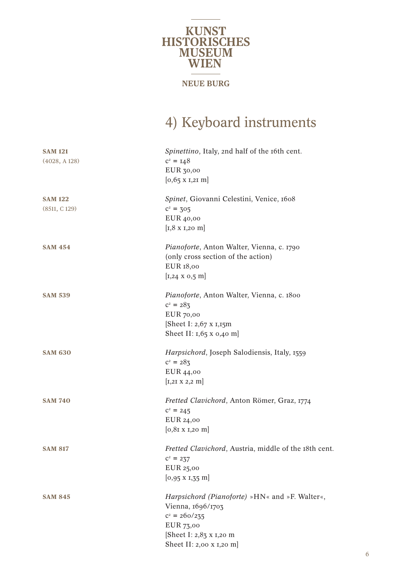# **KUNST<br>HISTORISCHES<br>MUSEUM<br>WIEN**

### **NEUE BURG**

### 4) Keyboard instruments

| <b>SAM 121</b><br>(4028, A128) | Spinettino, Italy, 2nd half of the 16th cent.<br>$c^2 = 148$<br>EUR 30,00<br>$[0,65 \times I,2I \text{ m}]$                                                |
|--------------------------------|------------------------------------------------------------------------------------------------------------------------------------------------------------|
| <b>SAM 122</b><br>(8511, C129) | Spinet, Giovanni Celestini, Venice, 1608<br>$c^2 = 305$<br>EUR 40,00<br>$[x, 8 \times 1, 20 \text{ m}]$                                                    |
| <b>SAM 454</b>                 | Pianoforte, Anton Walter, Vienna, c. 1790<br>(only cross section of the action)<br>EUR 18,00<br>$[x, 24 \times 0.5 \text{ m}]$                             |
| <b>SAM 539</b>                 | Pianoforte, Anton Walter, Vienna, c. 1800<br>$c^2 = 283$<br>EUR 70,00<br>[Sheet I: 2,67 x 1,15m]<br>Sheet II: $1,65$ x 0,40 m                              |
| <b>SAM 630</b>                 | Harpsichord, Joseph Salodiensis, Italy, 1559<br>$c^2 = 283$<br>EUR 44,00<br>$[x, 21 \times 2, 2 \text{ m}]$                                                |
| <b>SAM 740</b>                 | Fretted Clavichord, Anton Römer, Graz, 1774<br>$c^2 = 245$<br>EUR 24,00<br>$[0, 81 \times 1, 20 \text{ m}]$                                                |
| <b>SAM 817</b>                 | Fretted Clavichord, Austria, middle of the 18th cent.<br>$c^2 = 237$<br>EUR 25,00<br>$[0,95 \times 1,35 \text{ m}]$                                        |
| <b>SAM 845</b>                 | Harpsichord (Pianoforte) »HN« and »F. Walter«,<br>Vienna, 1696/1703<br>$c^2 = 260/235$<br>EUR 73,00<br>[Sheet I: 2,83 x 1,20 m<br>Sheet II: 2,00 x 1,20 m] |